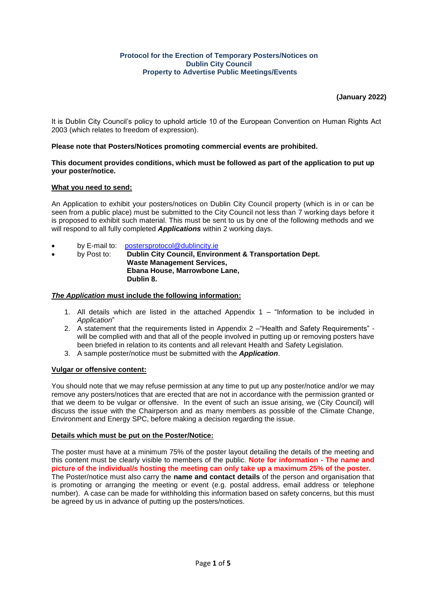## **Protocol for the Erection of Temporary Posters/Notices on Dublin City Council Property to Advertise Public Meetings/Events**

# **(January 2022)**

It is Dublin City Council's policy to uphold article 10 of the European Convention on Human Rights Act 2003 (which relates to freedom of expression).

## **Please note that Posters/Notices promoting commercial events are prohibited.**

## **This document provides conditions, which must be followed as part of the application to put up your poster/notice.**

## **What you need to send:**

An Application to exhibit your posters/notices on Dublin City Council property (which is in or can be seen from a public place) must be submitted to the City Council not less than 7 working days before it is proposed to exhibit such material. This must be sent to us by one of the following methods and we will respond to all fully completed *Applications* within 2 working days.

- by E-mail to: [postersprotocol@dublincity.ie](mailto:postersprotocol@dublincity.ie)
- by Post to: **Dublin City Council, Environment & Transportation Dept. Waste Management Services, Ebana House, Marrowbone Lane, Dublin 8.**

### *The Application* **must include the following information:**

- 1. All details which are listed in the attached Appendix  $1 -$  "Information to be included in *Application*"
- 2. A statement that the requirements listed in Appendix 2 –"Health and Safety Requirements" will be complied with and that all of the people involved in putting up or removing posters have been briefed in relation to its contents and all relevant Health and Safety Legislation.
- 3. A sample poster/notice must be submitted with the *Application*.

### **Vulgar or offensive content:**

You should note that we may refuse permission at any time to put up any poster/notice and/or we may remove any posters/notices that are erected that are not in accordance with the permission granted or that we deem to be vulgar or offensive. In the event of such an issue arising, we (City Council) will discuss the issue with the Chairperson and as many members as possible of the Climate Change, Environment and Energy SPC, before making a decision regarding the issue.

### **Details which must be put on the Poster/Notice:**

The poster must have at a minimum 75% of the poster layout detailing the details of the meeting and this content must be clearly visible to members of the public. **Note for information - The name and picture of the individual/s hosting the meeting can only take up a maximum 25% of the poster.** The Poster/notice must also carry the **name and contact details** of the person and organisation that is promoting or arranging the meeting or event (e.g. postal address, email address or telephone number). A case can be made for withholding this information based on safety concerns, but this must be agreed by us in advance of putting up the posters/notices.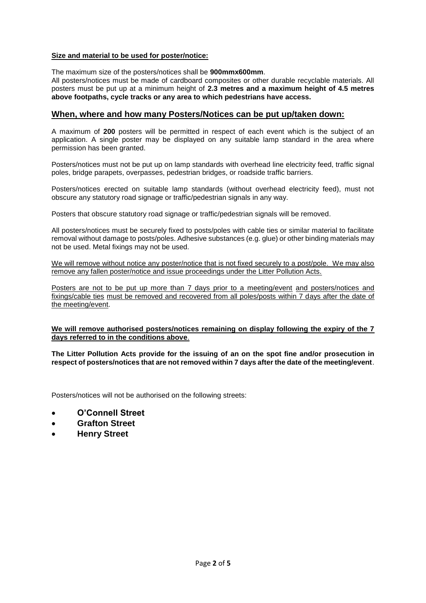## **Size and material to be used for poster/notice:**

The maximum size of the posters/notices shall be **900mmx600mm**.

All posters/notices must be made of cardboard composites or other durable recyclable materials. All posters must be put up at a minimum height of **2.3 metres and a maximum height of 4.5 metres above footpaths, cycle tracks or any area to which pedestrians have access.** 

## **When, where and how many Posters/Notices can be put up/taken down:**

A maximum of **200** posters will be permitted in respect of each event which is the subject of an application. A single poster may be displayed on any suitable lamp standard in the area where permission has been granted.

Posters/notices must not be put up on lamp standards with overhead line electricity feed, traffic signal poles, bridge parapets, overpasses, pedestrian bridges, or roadside traffic barriers.

Posters/notices erected on suitable lamp standards (without overhead electricity feed), must not obscure any statutory road signage or traffic/pedestrian signals in any way.

Posters that obscure statutory road signage or traffic/pedestrian signals will be removed.

All posters/notices must be securely fixed to posts/poles with cable ties or similar material to facilitate removal without damage to posts/poles. Adhesive substances (e.g. glue) or other binding materials may not be used. Metal fixings may not be used.

We will remove without notice any poster/notice that is not fixed securely to a post/pole. We may also remove any fallen poster/notice and issue proceedings under the Litter Pollution Acts.

Posters are not to be put up more than 7 days prior to a meeting/event and posters/notices and fixings/cable ties must be removed and recovered from all poles/posts within 7 days after the date of the meeting/event.

**We will remove authorised posters/notices remaining on display following the expiry of the 7 days referred to in the conditions above**.

**The Litter Pollution Acts provide for the issuing of an on the spot fine and/or prosecution in respect of posters/notices that are not removed within 7 days after the date of the meeting/event**.

Posters/notices will not be authorised on the following streets:

- **O'Connell Street**
- **Grafton Street**
- **Henry Street**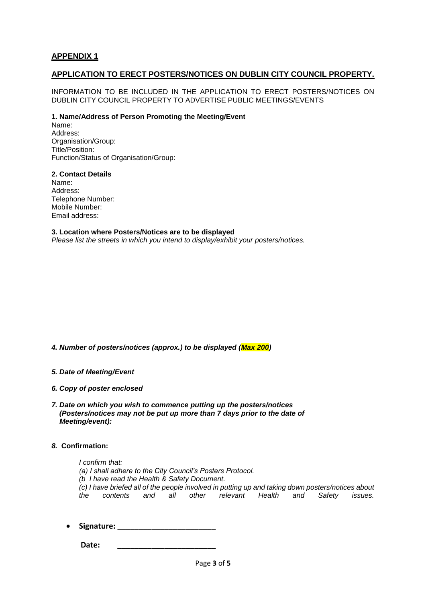# **APPENDIX 1**

# **APPLICATION TO ERECT POSTERS/NOTICES ON DUBLIN CITY COUNCIL PROPERTY.**

INFORMATION TO BE INCLUDED IN THE APPLICATION TO ERECT POSTERS/NOTICES ON DUBLIN CITY COUNCIL PROPERTY TO ADVERTISE PUBLIC MEETINGS/EVENTS

## **1. Name/Address of Person Promoting the Meeting/Event**

Name: Address: Organisation/Group: Title/Position: Function/Status of Organisation/Group:

## **2. Contact Details**

Name: Address: Telephone Number: Mobile Number: Email address:

**3. Location where Posters/Notices are to be displayed** *Please list the streets in which you intend to display/exhibit your posters/notices.*

*4. Number of posters/notices (approx.) to be displayed (Max 200)*

### *5. Date of Meeting/Event*

- *6. Copy of poster enclosed*
- *7. Date on which you wish to commence putting up the posters/notices (Posters/notices may not be put up more than 7 days prior to the date of Meeting/event):*

## *8.* **Confirmation:**

*I confirm that: (a) I shall adhere to the City Council's Posters Protocol. (b I have read the Health & Safety Document. (c) I have briefed all of the people involved in putting up and taking down posters/notices about the contents and all other relevant Health and Safety issues.*

**Signature: \_\_\_\_\_\_\_\_\_\_\_\_\_\_\_\_\_\_\_\_\_\_\_**

 **Date: \_\_\_\_\_\_\_\_\_\_\_\_\_\_\_\_\_\_\_\_\_\_\_**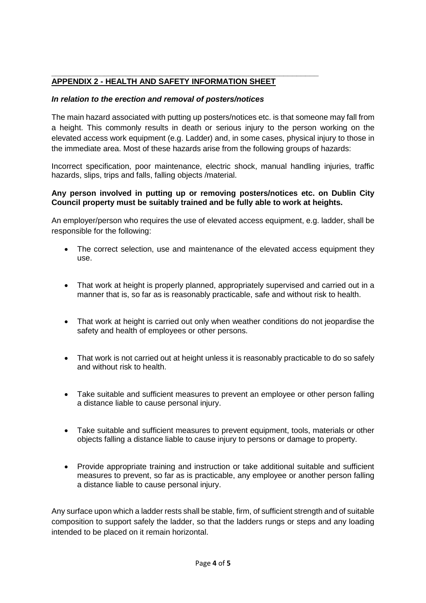## **\_\_\_\_\_\_\_\_\_\_\_\_\_\_\_\_\_\_\_\_\_\_\_\_\_\_\_\_\_\_\_\_\_\_\_\_\_\_\_\_\_\_\_\_\_\_\_\_\_\_\_\_\_\_\_\_\_\_\_\_\_ APPENDIX 2 - HEALTH AND SAFETY INFORMATION SHEET**

# *In relation to the erection and removal of posters/notices*

The main hazard associated with putting up posters/notices etc. is that someone may fall from a height. This commonly results in death or serious injury to the person working on the elevated access work equipment (e.g. Ladder) and, in some cases, physical injury to those in the immediate area. Most of these hazards arise from the following groups of hazards:

Incorrect specification, poor maintenance, electric shock, manual handling injuries, traffic hazards, slips, trips and falls, falling objects /material.

# **Any person involved in putting up or removing posters/notices etc. on Dublin City Council property must be suitably trained and be fully able to work at heights.**

An employer/person who requires the use of elevated access equipment, e.g. ladder, shall be responsible for the following:

- The correct selection, use and maintenance of the elevated access equipment they use.
- That work at height is properly planned, appropriately supervised and carried out in a manner that is, so far as is reasonably practicable, safe and without risk to health.
- That work at height is carried out only when weather conditions do not jeopardise the safety and health of employees or other persons.
- That work is not carried out at height unless it is reasonably practicable to do so safely and without risk to health.
- Take suitable and sufficient measures to prevent an employee or other person falling a distance liable to cause personal injury.
- Take suitable and sufficient measures to prevent equipment, tools, materials or other objects falling a distance liable to cause injury to persons or damage to property.
- Provide appropriate training and instruction or take additional suitable and sufficient measures to prevent, so far as is practicable, any employee or another person falling a distance liable to cause personal injury.

Any surface upon which a ladder rests shall be stable, firm, of sufficient strength and of suitable composition to support safely the ladder, so that the ladders rungs or steps and any loading intended to be placed on it remain horizontal.